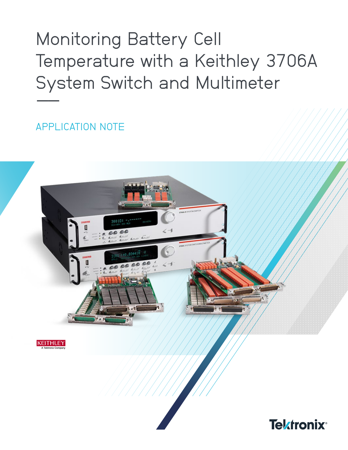**Monitoring Battery Cell** Temperature with a Keithley 3706A System Switch and Multimeter

APPLICATION NOTE



KEITHLEY

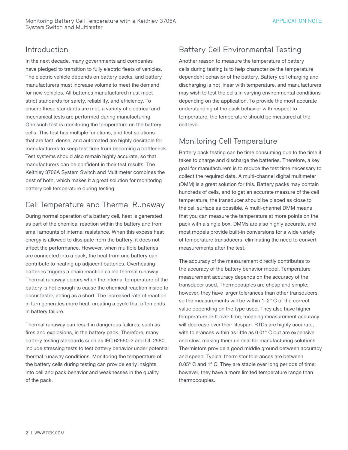#### Introduction

In the next decade, many governments and companies have pledged to transition to fully electric fleets of vehicles. The electric vehicle depends on battery packs, and battery manufacturers must increase volume to meet the demand for new vehicles. All batteries manufactured must meet strict standards for safety, reliability, and efficiency. To ensure these standards are met, a variety of electrical and mechanical tests are performed during manufacturing. One such test is monitoring the temperature on the battery cells. This test has multiple functions, and test solutions that are fast, dense, and automated are highly desirable for manufacturers to keep test time from becoming a bottleneck. Test systems should also remain highly accurate, so that manufacturers can be confident in their test results. The Keithley 3706A System Switch and Multimeter combines the best of both, which makes it a great solution for monitoring battery cell temperature during testing.

## Cell Temperature and Thermal Runaway

During normal operation of a battery cell, heat is generated as part of the chemical reaction within the battery and from small amounts of internal resistance. When this excess heat energy is allowed to dissipate from the battery, it does not affect the performance. However, when multiple batteries are connected into a pack, the heat from one battery can contribute to heating up adjacent batteries. Overheating batteries triggers a chain reaction called thermal runaway. Thermal runaway occurs when the internal temperature of the battery is hot enough to cause the chemical reaction inside to occur faster, acting as a short. The increased rate of reaction in turn generates more heat, creating a cycle that often ends in battery failure.

Thermal runaway can result in dangerous failures, such as fires and explosions, in the battery pack. Therefore, many battery testing standards such as IEC 62660-2 and UL 2580 include stressing tests to test battery behavior under potential thermal runaway conditions. Monitoring the temperature of the battery cells during testing can provide early insights into cell and pack behavior and weaknesses in the quality of the pack.

# Battery Cell Environmental Testing

Another reason to measure the temperature of battery cells during testing is to help characterize the temperature dependent behavior of the battery. Battery cell charging and discharging is not linear with temperature, and manufacturers may wish to test the cells in varying environmental conditions depending on the application. To provide the most accurate understanding of the pack behavior with respect to temperature, the temperature should be measured at the cell level.

## Monitoring Cell Temperature

Battery pack testing can be time consuming due to the time it takes to charge and discharge the batteries. Therefore, a key goal for manufacturers is to reduce the test time necessary to collect the required data. A multi-channel digital multimeter (DMM) is a great solution for this. Battery packs may contain hundreds of cells, and to get an accurate measure of the cell temperature, the transducer should be placed as close to the cell surface as possible. A multi-channel DMM means that you can measure the temperature at more points on the pack with a single box. DMMs are also highly accurate, and most models provide built-in conversions for a wide variety of temperature transducers, eliminating the need to convert measurements after the test.

The accuracy of the measurement directly contributes to the accuracy of the battery behavior model. Temperature measurement accuracy depends on the accuracy of the transducer used. Thermocouples are cheap and simple; however, they have larger tolerances than other transducers, so the measurements will be within 1–2° C of the correct value depending on the type used. They also have higher temperature drift over time, meaning measurement accuracy will decrease over their lifespan. RTDs are highly accurate, with tolerances within as little as 0.01° C but are expensive and slow, making them unideal for manufacturing solutions. Thermistors provide a good middle ground between accuracy and speed. Typical thermistor tolerances are between 0.05° C and 1° C. They are stable over long periods of time; however, they have a more limited temperature range than thermocouples.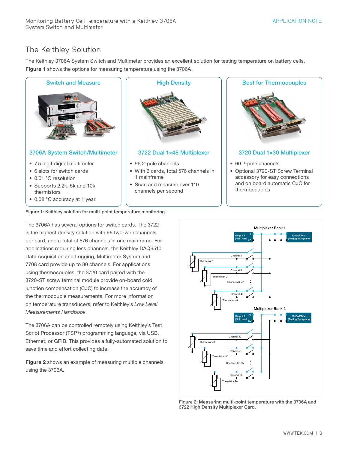## The Keithley Solution

The Keithley 3706A System Switch and Multimeter provides an excellent solution for testing temperature on battery cells. Figure 1 shows the options for measuring temperature using the 3706A.



Figure 1: Keithley solution for multi-point temperature monitoring.

The 3706A has several options for switch cards. The 3722 is the highest density solution with 96 two-wire channels per card, and a total of 576 channels in one mainframe. For applications requiring less channels, the Keithley DAQ6510 Data Acquisition and Logging, Multimeter System and 7708 card provide up to 80 channels. For applications using thermocouples, the 3720 card paired with the 3720-ST screw terminal module provide on-board cold junction compensation (CJC) to increase the accuracy of the thermocouple measurements. For more information on temperature transducers, refer to Keithley's *Low Level Measurements Handbook*.

The 3706A can be controlled remotely using Keithley's Test Script Processor (TSP®) programming language, via USB, Ethernet, or GPIB. This provides a fully-automated solution to save time and effort collecting data.

Figure 2 shows an example of measuring multiple channels using the 3706A.



Figure 2: Measuring multi-point temperature with the 3706A and 3722 High Density Multiplexer Card.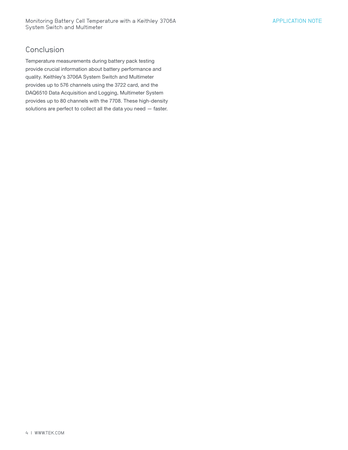#### **Conclusion**

Temperature measurements during battery pack testing provide crucial information about battery performance and quality. Keithley's 3706A System Switch and Multimeter provides up to 576 channels using the 3722 card, and the DAQ6510 Data Acquisition and Logging, Multimeter System provides up to 80 channels with the 7708. These high-density solutions are perfect to collect all the data you need — faster.